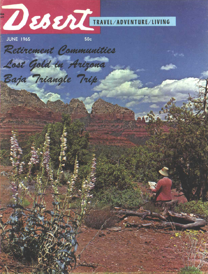

Lost Gold in Arizona

Baja Triangle Trip

**JUNE 1965** 

 $50c$ 

Retirement Communities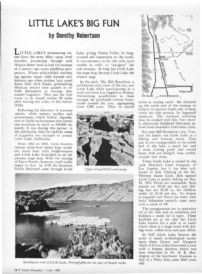## **LITTLE LAKE'S BIG FUN by Dorothy Robertson**

LAKE'S shimmering waters have the same effect upon tired travelers journeying through arid Mojave desert land as had the swamps of a century ago upon plodding prospectors. Where wind-ruffled wavelets lap against basalt cliffs formed milleniums ago when molten lava oozed down their dark flanks, gold-seeking Mexican miners once paused to refresh themselves at swamps they named Lagunita. This was the first water to be found within 20 miles after leaving the valley of the Indian Wells.

Following the discovery of precious metals, white miners, settlers and store-keepers risked Indian depredation to build up businesses that netted one merchant as much as 550,000 annually. It was during this period, in the mid-sixties, that the melodic name of Lagunita was changed to prosaic Little Lake, California.

From 1865 **to** 1883, **Cerro Gordo's** famous **silver-lead** mines kept southern roads busy with freightwagons and Little Lake flourished as an important stage stop. With the waning of Cerro Gordo, however, road trafficbegan to slow. **In 1910** the Southern Pacific Railroad came through Little Lake, giving Owens Valley its longcoveted rail connection to the south. It was necessary to lay the rails upon trestles in order to "navigate" the tule swamps. At long last Little Lake the stage stop, became Little Lake the whistle stop.

In the early '20s, Bill Bramlette, a well-known auto racer of the era, saw Little Lake while participating in a load race from Los Angeles to Bishop. Envisioning possibilities in these **swamps,** he purchased various homesteads around the area, aggregating some 1200 acres. Then he settled



*Upper Fossil Falls and mesa.*



*Southwest end of Little Lake. Petroglyphs are on face of basalt rocks.*



down to raising cattle. He dammed up the south end of the swamps to irrigate his pasture lands and, to keep down the tule growth, he imported **muskrats.** The resultant mile-long lake, he stocked with fish. Very shortly afterwards delighted fishermen arrived from Southern California cities.

For years Bill **Bramlette's** son, Tom, and his family ran Little Lake as a fishing and boating resort. Tom put in two **campgrounds** at the north end of the lake, **a** snack bar and a trout rearing **pond** and rented boats. Fish are bluegill, bass, catfish, **crappie** and trout.

Today Little Lake is owned by the Jack Morehart Land **Company** of Los Angeles, but it has been subleased to Bob Whiting of the Mt. Whitney Game Club. Bob opened Little Lake to public fishing on May 16, 1964. Prices are reasonable. Boat rentals are S3.50 per day and fishing fees are \$2.50 or, for children under 12, **\$1.50** per day. No license is required and there's no limit. One lucky fisherman recently came away with a catch of 40!

The campgrounds are in operation all of the time and on weekends and **holidays** a snack bar is open. These facilities are at the lake, but Little Lake hamlet lies a mile or so south where there is a large hotel with dining room, coffee shop and post office.

In 1947 Little Lake became the scene of much archeological excitement when Duane and Margaret Mack of China Lake discovered a cave with a human skeleton which was later identified by Dr. M. R. Harrington of the Southwest Museum as that of a Pinto Man some 3000 years old!